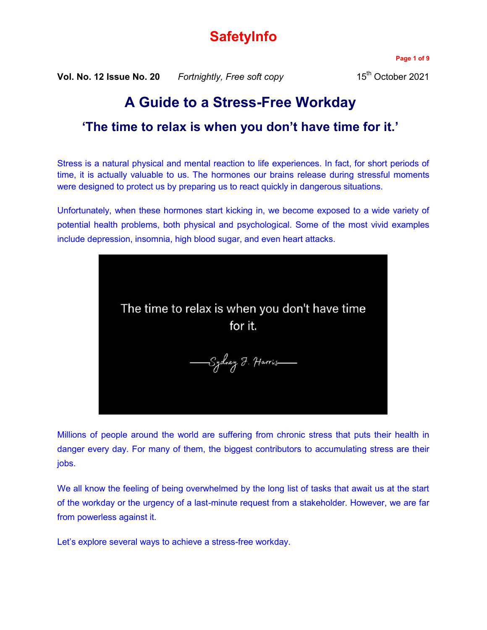# **SafetyInfo**

**Vol. No. 12 Issue No. 20** *Fortnightly, Free soft copy* 15<sup>th</sup> October 2021

**Page 1 of 9**

# **A Guide to a Stress-Free Workday**

## **'The time to relax is when you don't have time for it.'**

Stress is a natural physical and mental reaction to life experiences. In fact, for short periods of time, it is actually valuable to us. The hormones our brains release during stressful moments were designed to protect us by preparing us to react quickly in dangerous situations.

Unfortunately, when these hormones start kicking in, we become exposed to a wide variety of potential health problems, both physical and psychological. Some of the most vivid examples include depression, insomnia, high blood sugar, and even heart attacks.



Millions of people around the world are suffering from chronic stress that puts their health in danger every day. For many of them, the biggest contributors to accumulating stress are their jobs.

We all know the feeling of being overwhelmed by the long list of tasks that await us at the start of the workday or the urgency of a last-minute request from a stakeholder. However, we are far from powerless against it.

Let's explore several ways to achieve a stress-free workday.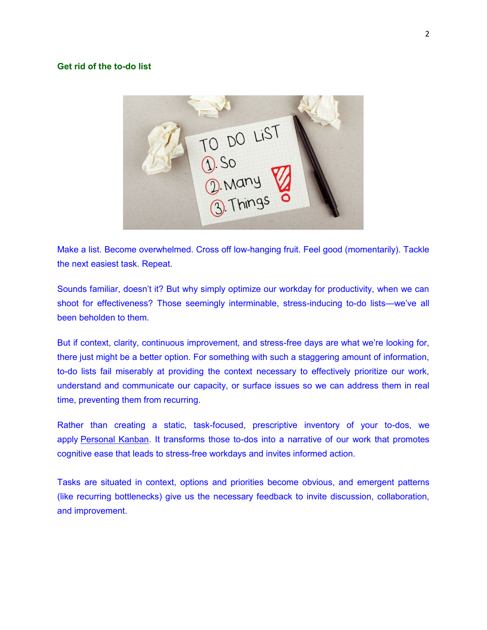### **Get rid of the to-do list**



Make a list. Become overwhelmed. Cross off low-hanging fruit. Feel good (momentarily). Tackle the next easiest task. Repeat.

Sounds familiar, doesn't it? But why simply optimize our workday for productivity, when we can shoot for effectiveness? Those seemingly interminable, stress-inducing to-do lists—we've all been beholden to them.

But if context, clarity, continuous improvement, and stress-free days are what we're looking for, there just might be a better option. For something with such a staggering amount of information, to-do lists fail miserably at providing the context necessary to effectively prioritize our work, understand and communicate our capacity, or surface issues so we can address them in real time, preventing them from recurring.

Rather than creating a static, task-focused, prescriptive inventory of your to-dos, we apply [Personal Kanban.](https://www.modusinstitute.com/personalkanban) It transforms those to-dos into a narrative of our work that promotes cognitive ease that leads to stress-free workdays and invites informed action.

Tasks are situated in context, options and priorities become obvious, and emergent patterns (like recurring bottlenecks) give us the necessary feedback to invite discussion, collaboration, and improvement.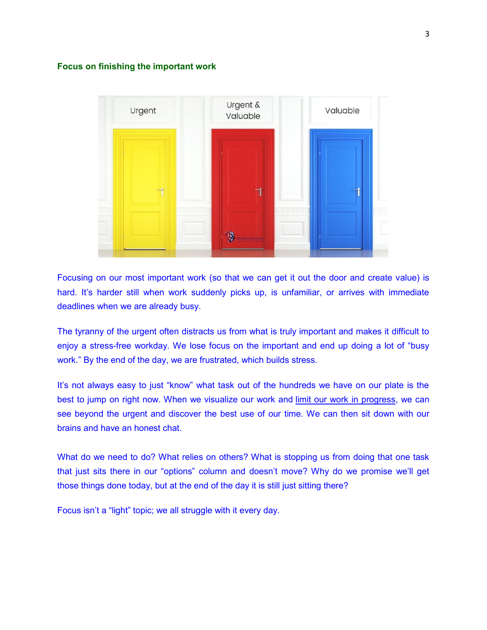#### **Focus on finishing the important work**



Focusing on our most important work (so that we can get it out the door and create value) is hard. It's harder still when work suddenly picks up, is unfamiliar, or arrives with immediate deadlines when we are already busy.

The tyranny of the urgent often distracts us from what is truly important and makes it difficult to enjoy a stress-free workday. We lose focus on the important and end up doing a lot of "busy work." By the end of the day, we are frustrated, which builds stress.

It's not always easy to just "know" what task out of the hundreds we have on our plate is the best to jump on right now. When we visualize our work and [limit our work in progress,](https://www.personalkanban.com/pk/uncategorized/how-to-setting-your-personal-wip-limit) we can see beyond the urgent and discover the best use of our time. We can then sit down with our brains and have an honest chat.

What do we need to do? What relies on others? What is stopping us from doing that one task that just sits there in our "options" column and doesn't move? Why do we promise we'll get those things done today, but at the end of the day it is still just sitting there?

Focus isn't a "light" topic; we all struggle with it every day.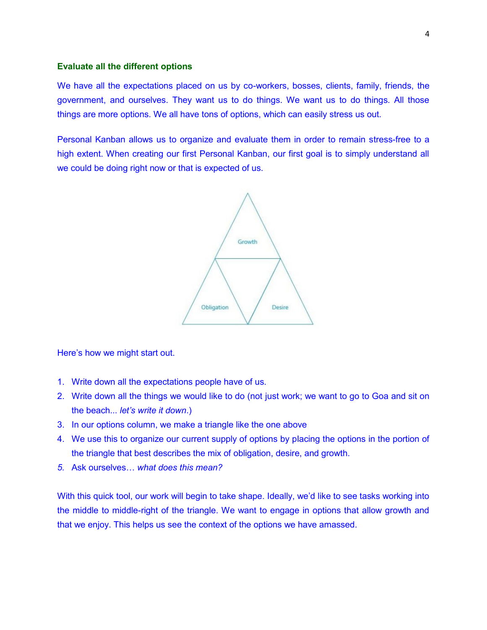### **Evaluate all the different options**

We have all the expectations placed on us by co-workers, bosses, clients, family, friends, the government, and ourselves. They want us to do things. We want us to do things. All those things are more options. We all have tons of options, which can easily stress us out.

Personal Kanban allows us to organize and evaluate them in order to remain stress-free to a high extent. When creating our first Personal Kanban, our first goal is to simply understand all we could be doing right now or that is expected of us.



Here's how we might start out.

- 1. Write down all the expectations people have of us.
- 2. Write down all the things we would like to do (not just work; we want to go to Goa and sit on the beach... *let's write it down*.)
- 3. In our options column, we make a triangle like the one above
- 4. We use this to organize our current supply of options by placing the options in the portion of the triangle that best describes the mix of obligation, desire, and growth.
- *5.* Ask ourselves… *what does this mean?*

With this quick tool, our work will begin to take shape. Ideally, we'd like to see tasks working into the middle to middle-right of the triangle. We want to engage in options that allow growth and that we enjoy. This helps us see the context of the options we have amassed.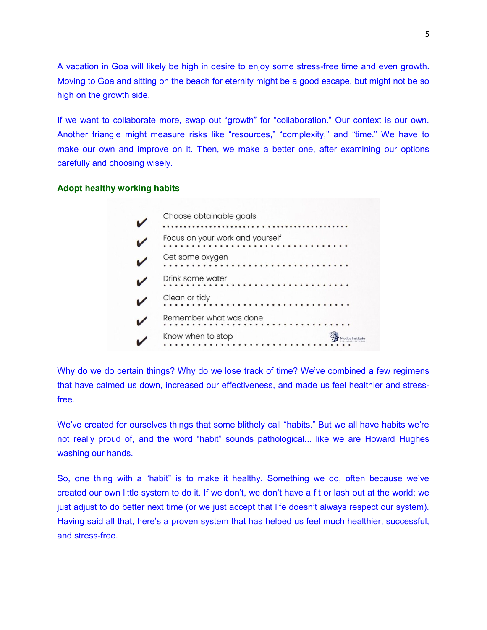A vacation in Goa will likely be high in desire to enjoy some stress-free time and even growth. Moving to Goa and sitting on the beach for eternity might be a good escape, but might not be so high on the growth side.

If we want to collaborate more, swap out "growth" for "collaboration." Our context is our own. Another triangle might measure risks like "resources," "complexity," and "time." We have to make our own and improve on it. Then, we make a better one, after examining our options carefully and choosing wisely.

### **Adopt healthy working habits**



Why do we do certain things? Why do we lose track of time? We've combined a few regimens that have calmed us down, increased our effectiveness, and made us feel healthier and stressfree.

We've created for ourselves things that some blithely call "habits." But we all have habits we're not really proud of, and the word "habit" sounds pathological... like we are Howard Hughes washing our hands.

So, one thing with a "habit" is to make it healthy. Something we do, often because we've created our own little system to do it. If we don't, we don't have a fit or lash out at the world; we just adjust to do better next time (or we just accept that life doesn't always respect our system). Having said all that, here's a proven system that has helped us feel much healthier, successful, and stress-free.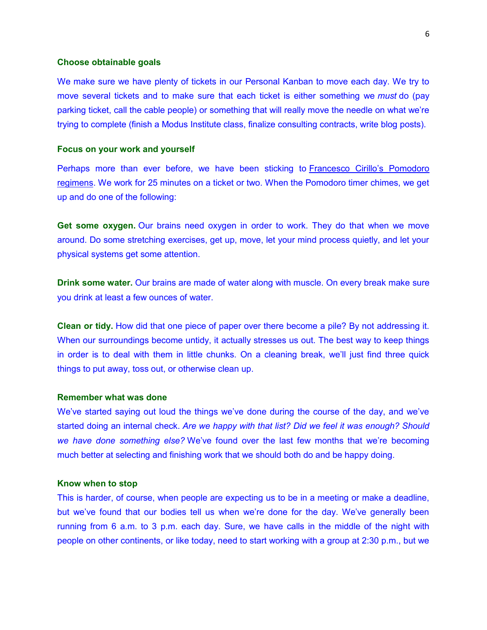#### **Choose obtainable goals**

We make sure we have plenty of tickets in our Personal Kanban to move each day. We try to move several tickets and to make sure that each ticket is either something we *must* do (pay parking ticket, call the cable people) or something that will really move the needle on what we're trying to complete (finish a Modus Institute class, finalize consulting contracts, write blog posts).

#### **Focus on your work and yourself**

Perhaps more than ever before, we have been sticking to [Francesco Cirillo's Pomodoro](https://francescocirillo.com/pages/pomodoro-technique)  [regimens.](https://francescocirillo.com/pages/pomodoro-technique) We work for 25 minutes on a ticket or two. When the Pomodoro timer chimes, we get up and do one of the following:

**Get some oxygen.** Our brains need oxygen in order to work. They do that when we move around. Do some stretching exercises, get up, move, let your mind process quietly, and let your physical systems get some attention.

**Drink some water.** Our brains are made of water along with muscle. On every break make sure you drink at least a few ounces of water.

**Clean or tidy.** How did that one piece of paper over there become a pile? By not addressing it. When our surroundings become untidy, it actually stresses us out. The best way to keep things in order is to deal with them in little chunks. On a cleaning break, we'll just find three quick things to put away, toss out, or otherwise clean up.

#### **Remember what was done**

We've started saying out loud the things we've done during the course of the day, and we've started doing an internal check. *Are we happy with that list? Did we feel it was enough? Should we have done something else?* We've found over the last few months that we're becoming much better at selecting and finishing work that we should both do and be happy doing.

#### **Know when to stop**

This is harder, of course, when people are expecting us to be in a meeting or make a deadline, but we've found that our bodies tell us when we're done for the day. We've generally been running from 6 a.m. to 3 p.m. each day. Sure, we have calls in the middle of the night with people on other continents, or like today, need to start working with a group at 2:30 p.m., but we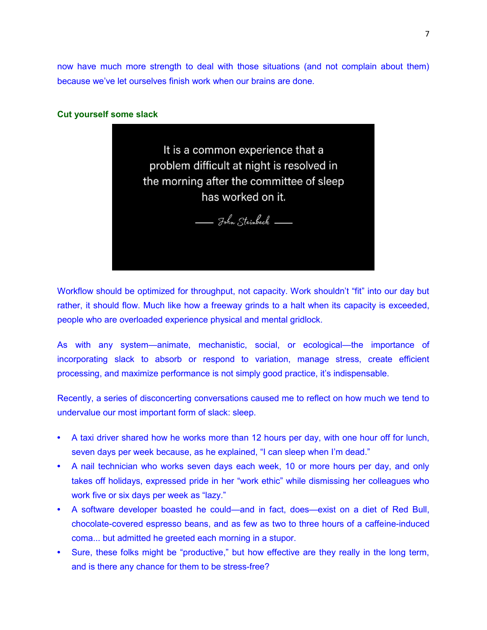now have much more strength to deal with those situations (and not complain about them) because we've let ourselves finish work when our brains are done.

### **Cut yourself some slack**



Workflow should be optimized for throughput, not capacity. Work shouldn't "fit" into our day but rather, it should flow. Much like how a freeway grinds to a halt when its capacity is exceeded, people who are overloaded experience physical and mental gridlock.

As with any system—animate, mechanistic, social, or ecological—the importance of incorporating slack to absorb or respond to variation, manage stress, create efficient processing, and maximize performance is not simply good practice, it's indispensable.

Recently, a series of disconcerting conversations caused me to reflect on how much we tend to undervalue our most important form of slack: sleep.

- **•** A taxi driver shared how he works more than 12 hours per day, with one hour off for lunch, seven days per week because, as he explained, "I can sleep when I'm dead."
- **•** A nail technician who works seven days each week, 10 or more hours per day, and only takes off holidays, expressed pride in her "work ethic" while dismissing her colleagues who work five or six days per week as "lazy."
- **•** A software developer boasted he could—and in fact, does—exist on a diet of Red Bull, chocolate-covered espresso beans, and as few as two to three hours of a caffeine-induced coma... but admitted he greeted each morning in a stupor.
- **•** Sure, these folks might be "productive," but how effective are they really in the long term, and is there any chance for them to be stress-free?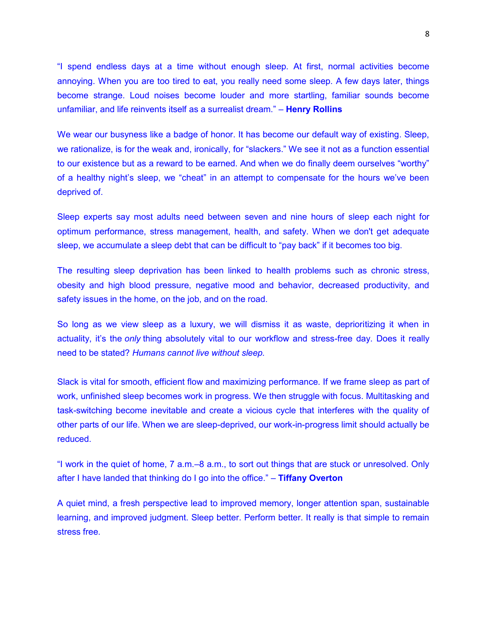"I spend endless days at a time without enough sleep. At first, normal activities become annoying. When you are too tired to eat, you really need some sleep. A few days later, things become strange. Loud noises become louder and more startling, familiar sounds become unfamiliar, and life reinvents itself as a surrealist dream." – **Henry Rollins** 

We wear our busyness like a badge of honor. It has become our default way of existing. Sleep, we rationalize, is for the weak and, ironically, for "slackers." We see it not as a function essential to our existence but as a reward to be earned. And when we do finally deem ourselves "worthy" of a healthy night's sleep, we "cheat" in an attempt to compensate for the hours we've been deprived of.

Sleep experts say most adults need between seven and nine hours of sleep each night for optimum performance, stress management, health, and safety. When we don't get adequate sleep, we accumulate a sleep debt that can be difficult to "pay back" if it becomes too big.

The resulting sleep deprivation has been linked to health problems such as chronic stress, obesity and high blood pressure, negative mood and behavior, decreased productivity, and safety issues in the home, on the job, and on the road.

So long as we view sleep as a luxury, we will dismiss it as waste, deprioritizing it when in actuality, it's the *only* thing absolutely vital to our workflow and stress-free day. Does it really need to be stated? *Humans cannot live without sleep.*

Slack is vital for smooth, efficient flow and maximizing performance. If we frame sleep as part of work, unfinished sleep becomes work in progress. We then struggle with focus. Multitasking and task-switching become inevitable and create a vicious cycle that interferes with the quality of other parts of our life. When we are sleep-deprived, our work-in-progress limit should actually be reduced.

"I work in the quiet of home, 7 a.m.–8 a.m., to sort out things that are stuck or unresolved. Only after I have landed that thinking do I go into the office." – **Tiffany Overton** 

A quiet mind, a fresh perspective lead to improved memory, longer attention span, sustainable learning, and improved judgment. Sleep better. Perform better. It really is that simple to remain stress free.